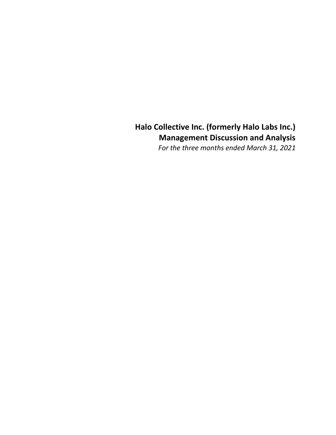# **Halo Collective Inc. (formerly Halo Labs Inc.) Management Discussion and Analysis**

*For the three months ended March 31, 2021*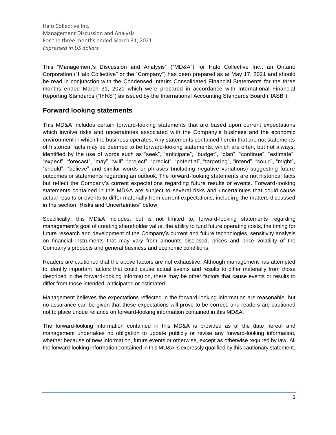This "Management's Discussion and Analysis" ("MD&A") for Halo Collective Inc., an Ontario Corporation ("Halo Collective" or the "Company") has been prepared as at May 17, 2021 and should be read in conjunction with the Condensed Interim Consolidated Financial Statements for the three months ended March 31, 2021 which were prepared in accordance with International Financial Reporting Standards ("IFRS") as issued by the International Accounting Standards Board ("IASB").

# **Forward looking statements**

This MD&A includes certain forward-looking statements that are based upon current expectations which involve risks and uncertainties associated with the Company's business and the economic environment in which the business operates. Any statements contained herein that are not statements of historical facts may be deemed to be forward-looking statements, which are often, but not always, identified by the use of words such as "seek", "anticipate", "budget", "plan", "continue", "estimate", "expect", "forecast", "may", "will", "project", "predict", "potential", "targeting", "intend", "could", "might", "should", "believe" and similar words or phrases (including negative variations) suggesting future outcomes or statements regarding an outlook. The forward-looking statements are not historical facts but reflect the Company's current expectations regarding future results or events. Forward-looking statements contained in this MD&A are subject to several risks and uncertainties that could cause actual results or events to differ materially from current expectations, including the matters discussed in the section "Risks and Uncertainties" below.

Specifically, this MD&A includes, but is not limited to, forward-looking statements regarding management's goal of creating shareholder value, the ability to fund future operating costs, the timing for future research and development of the Company's current and future technologies, sensitivity analysis on financial instruments that may vary from amounts disclosed, prices and price volatility of the Company's products and general business and economic conditions.

Readers are cautioned that the above factors are not exhaustive. Although management has attempted to identify important factors that could cause actual events and results to differ materially from those described in the forward-looking information, there may be other factors that cause events or results to differ from those intended, anticipated or estimated.

Management believes the expectations reflected in the forward-looking information are reasonable, but no assurance can be given that these expectations will prove to be correct, and readers are cautioned not to place undue reliance on forward-looking information contained in this MD&A.

The forward-looking information contained in this MD&A is provided as of the date hereof and management undertakes no obligation to update publicly or revise any forward-looking information, whether because of new information, future events or otherwise, except as otherwise required by law. All the forward-looking information contained in this MD&A is expressly qualified by this cautionary statement.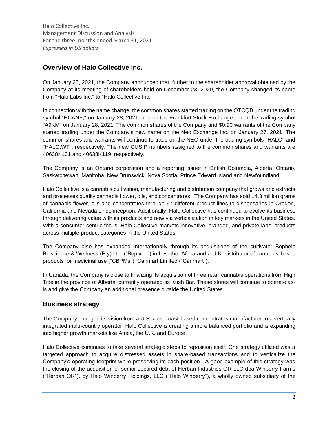# **Overview of Halo Collective Inc.**

On January 25, 2021, the Company announced that, further to the shareholder approval obtained by the Company at its meeting of shareholders held on December 23, 2020, the Company changed its name from "Halo Labs Inc." to "Halo Collective Inc."

In connection with the name change, the common shares started trading on the OTCQB under the trading symbol "HCANF," on January 28, 2021, and on the Frankfurt Stock Exchange under the trading symbol "A9KM" on January 28, 2021. The common shares of the Company and \$0.90 warrants of the Company started trading under the Company's new name on the Neo Exchange Inc. on January 27, 2021. The common shares and warrants will continue to trade on the NEO under the trading symbols "HALO" and "HALO.WT", respectively. The new CUSIP numbers assigned to the common shares and warrants are 40638K101 and 40638K119, respectively.

The Company is an Ontario corporation and a reporting issuer in British Columbia, Alberta, Ontario, Saskatchewan, Manitoba, New Brunswick, Nova Scotia, Prince Edward Island and Newfoundland.

Halo Collective is a cannabis cultivation, manufacturing and distribution company that grows and extracts and processes quality cannabis flower, oils, and concentrates. The Company has sold 14.3 million grams of cannabis flower, oils and concentrates through 67 different product lines to dispensaries in Oregon, California and Nevada since inception. Additionally, Halo Collective has continued to evolve its business through delivering value with its products and now via verticalization in key markets in the United States. With a consumer-centric focus, Halo Collective markets innovative, branded, and private label products across multiple product categories in the United States.

The Company also has expanded internationally through its acquisitions of the cultivator Bophelo Bioscience & Wellness (Pty) Ltd. ("Bophelo") in Lesotho, Africa and a U.K. distributor of cannabis-based products for medicinal use ("CBPMs"), Canmart Limited ("Canmart").

In Canada, the Company is close to finalizing its acquisition of three retail cannabis operations from High Tide in the province of Alberta, currently operated as Kush Bar. These stores will continue to operate asis and give the Company an additional presence outside the United States.

# **Business strategy**

The Company changed its vision from a U.S. west coast-based concentrates manufacturer to a vertically integrated multi-country operator. Halo Collective is creating a more balanced portfolio and is expanding into higher growth markets like Africa, the U.K. and Europe.

Halo Collective continues to take several strategic steps to reposition itself. One strategy utilized was a targeted approach to acquire distressed assets in share-based transactions and to verticalize the Company's operating footprint while preserving its cash position. A good example of this strategy was the closing of the acquisition of senior secured debt of Herban Industries OR LLC dba Winberry Farms ("Herban OR"), by Halo Winberry Holdings, LLC ("Halo Winberry"), a wholly owned subsidiary of the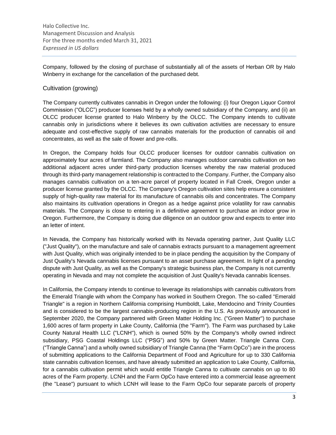Company, followed by the closing of purchase of substantially all of the assets of Herban OR by Halo Winberry in exchange for the cancellation of the purchased debt.

### Cultivation (growing)

The Company currently cultivates cannabis in Oregon under the following: (i) four Oregon Liquor Control Commission ("OLCC") producer licenses held by a wholly owned subsidiary of the Company, and (ii) an OLCC producer license granted to Halo Winberry by the OLCC. The Company intends to cultivate cannabis only in jurisdictions where it believes its own cultivation activities are necessary to ensure adequate and cost-effective supply of raw cannabis materials for the production of cannabis oil and concentrates, as well as the sale of flower and pre-rolls.

In Oregon, the Company holds four OLCC producer licenses for outdoor cannabis cultivation on approximately four acres of farmland. The Company also manages outdoor cannabis cultivation on two additional adjacent acres under third-party production licenses whereby the raw material produced through its third-party management relationship is contracted to the Company. Further, the Company also manages cannabis cultivation on a ten-acre parcel of property located in Fall Creek, Oregon under a producer license granted by the OLCC. The Company's Oregon cultivation sites help ensure a consistent supply of high-quality raw material for its manufacture of cannabis oils and concentrates. The Company also maintains its cultivation operations in Oregon as a hedge against price volatility for raw cannabis materials. The Company is close to entering in a definitive agreement to purchase an indoor grow in Oregon. Furthermore, the Company is doing due diligence on an outdoor grow and expects to enter into an letter of intent.

In Nevada, the Company has historically worked with its Nevada operating partner, Just Quality LLC ("Just Quality"), on the manufacture and sale of cannabis extracts pursuant to a management agreement with Just Quality, which was originally intended to be in place pending the acquisition by the Company of Just Quality's Nevada cannabis licenses pursuant to an asset purchase agreement. In light of a pending dispute with Just Quality, as well as the Company's strategic business plan, the Company is not currently operating in Nevada and may not complete the acquisition of Just Quality's Nevada cannabis licenses.

In California, the Company intends to continue to leverage its relationships with cannabis cultivators from the Emerald Triangle with whom the Company has worked in Southern Oregon. The so-called "Emerald Triangle" is a region in Northern California comprising Humboldt, Lake, Mendocino and Trinity Counties and is considered to be the largest cannabis-producing region in the U.S. As previously announced in September 2020, the Company partnered with Green Matter Holding Inc. ("Green Matter") to purchase 1,600 acres of farm property in Lake County, California (the "Farm"). The Farm was purchased by Lake County Natural Health LLC ("LCNH"), which is owned 50% by the Company's wholly owned indirect subsidiary, PSG Coastal Holdings LLC ("PSG") and 50% by Green Matter. Triangle Canna Corp. ("Triangle Canna") and a wholly owned subsidiary of Triangle Canna (the "Farm OpCo") are in the process of submitting applications to the California Department of Food and Agriculture for up to 330 California state cannabis cultivation licenses, and have already submitted an application to Lake County, California, for a cannabis cultivation permit which would entitle Triangle Canna to cultivate cannabis on up to 80 acres of the Farm property. LCNH and the Farm OpCo have entered into a commercial lease agreement (the "Lease") pursuant to which LCNH will lease to the Farm OpCo four separate parcels of property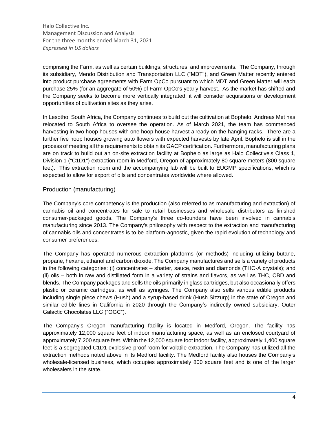comprising the Farm, as well as certain buildings, structures, and improvements. The Company, through its subsidiary, Mendo Distribution and Transportation LLC ("MDT"), and Green Matter recently entered into product purchase agreements with Farm OpCo pursuant to which MDT and Green Matter will each purchase 25% (for an aggregate of 50%) of Farm OpCo's yearly harvest. As the market has shifted and the Company seeks to become more vertically integrated, it will consider acquisitions or development opportunities of cultivation sites as they arise.

In Lesotho, South Africa, the Company continues to build out the cultivation at Bophelo. Andreas Met has relocated to South Africa to oversee the operation. As of March 2021, the team has commenced harvesting in two hoop houses with one hoop house harvest already on the hanging racks. There are a further five hoop houses growing auto flowers with expected harvests by late April. Bophelo is still in the process of meeting all the requirements to obtain its GACP certification. Furthermore, manufacturing plans are on track to build out an on-site extraction facility at Bophelo as large as Halo Collective's Class 1, Division 1 ("C1D1") extraction room in Medford, Oregon of approximately 80 square meters (800 square feet). This extraction room and the accompanying lab will be built to EUGMP specifications, which is expected to allow for export of oils and concentrates worldwide where allowed.

### Production (manufacturing)

The Company's core competency is the production (also referred to as manufacturing and extraction) of cannabis oil and concentrates for sale to retail businesses and wholesale distributors as finished consumer-packaged goods. The Company's three co-founders have been involved in cannabis manufacturing since 2013. The Company's philosophy with respect to the extraction and manufacturing of cannabis oils and concentrates is to be platform-agnostic, given the rapid evolution of technology and consumer preferences.

The Company has operated numerous extraction platforms (or methods) including utilizing butane, propane, hexane, ethanol and carbon dioxide. The Company manufactures and sells a variety of products in the following categories: (i) concentrates – shatter, sauce, resin and diamonds (THC-A crystals); and (ii) oils – both in raw and distillated form in a variety of strains and flavors, as well as THC, CBD and blends. The Company packages and sells the oils primarily in glass cartridges, but also occasionally offers plastic or ceramic cartridges, as well as syringes. The Company also sells various edible products including single piece chews (Hush) and a syrup-based drink (Hush Sizzurp) in the state of Oregon and similar edible lines in California in 2020 through the Company's indirectly owned subsidiary, Outer Galactic Chocolates LLC ("OGC").

The Company's Oregon manufacturing facility is located in Medford, Oregon. The facility has approximately 12,000 square feet of indoor manufacturing space, as well as an enclosed courtyard of approximately 7,200 square feet. Within the 12,000 square foot indoor facility, approximately 1,400 square feet is a segregated C1D1 explosive-proof room for volatile extraction. The Company has utilized all the extraction methods noted above in its Medford facility. The Medford facility also houses the Company's wholesale-licensed business, which occupies approximately 800 square feet and is one of the larger wholesalers in the state.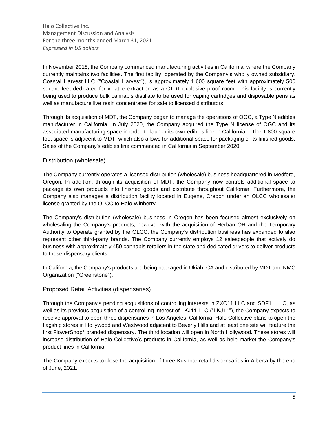In November 2018, the Company commenced manufacturing activities in California, where the Company currently maintains two facilities. The first facility, operated by the Company's wholly owned subsidiary, Coastal Harvest LLC ("Coastal Harvest"), is approximately 1,600 square feet with approximately 500 square feet dedicated for volatile extraction as a C1D1 explosive-proof room. This facility is currently being used to produce bulk cannabis distillate to be used for vaping cartridges and disposable pens as well as manufacture live resin concentrates for sale to licensed distributors.

Through its acquisition of MDT, the Company began to manage the operations of OGC, a Type N edibles manufacturer in California. In July 2020, the Company acquired the Type N license of OGC and its associated manufacturing space in order to launch its own edibles line in California. The 1,800 square foot space is adjacent to MDT, which also allows for additional space for packaging of its finished goods. Sales of the Company's edibles line commenced in California in September 2020.

### Distribution (wholesale)

The Company currently operates a licensed distribution (wholesale) business headquartered in Medford, Oregon. In addition, through its acquisition of MDT, the Company now controls additional space to package its own products into finished goods and distribute throughout California. Furthermore, the Company also manages a distribution facility located in Eugene, Oregon under an OLCC wholesaler license granted by the OLCC to Halo Winberry.

The Company's distribution (wholesale) business in Oregon has been focused almost exclusively on wholesaling the Company's products, however with the acquisition of Herban OR and the Temporary Authority to Operate granted by the OLCC, the Company's distribution business has expanded to also represent other third-party brands. The Company currently employs 12 salespeople that actively do business with approximately 450 cannabis retailers in the state and dedicated drivers to deliver products to these dispensary clients.

In California, the Company's products are being packaged in Ukiah, CA and distributed by MDT and NMC Organization ("Greenstone").

### Proposed Retail Activities (dispensaries)

Through the Company's pending acquisitions of controlling interests in ZXC11 LLC and SDF11 LLC, as well as its previous acquisition of a controlling interest of LKJ11 LLC ("LKJ11"), the Company expects to receive approval to open three dispensaries in Los Angeles, California. Halo Collective plans to open the flagship stores in Hollywood and Westwood adjacent to Beverly Hills and at least one site will feature the first FlowerShop\* branded dispensary. The third location will open in North Hollywood. These stores will increase distribution of Halo Collective's products in California, as well as help market the Company's product lines in California.

The Company expects to close the acquisition of three Kushbar retail dispensaries in Alberta by the end of June, 2021.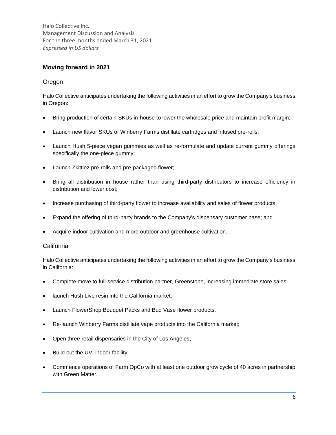# **Moving forward in 2021**

### Oregon

Halo Collective anticipates undertaking the following activities in an effort to grow the Company's business in Oregon:

- Bring production of certain SKUs in-house to lower the wholesale price and maintain profit margin;
- Launch new flavor SKUs of Winberry Farms distillate cartridges and infused pre-rolls;
- Launch Hush 5-piece vegan gummies as well as re-formulate and update current gummy offerings specifically the one-piece gummy;
- Launch Zkittlez pre-rolls and pre-packaged flower;
- Bring all distribution in house rather than using third-party distributors to increase efficiency in distribution and lower cost;
- Increase purchasing of third-party flower to increase availability and sales of flower products;
- Expand the offering of third-party brands to the Company's dispensary customer base; and
- Acquire indoor cultivation and more outdoor and greenhouse cultivation.

### California

Halo Collective anticipates undertaking the following activities in an effort to grow the Company's business in California:

- Complete move to full-service distribution partner, Greenstone, increasing immediate store sales;
- launch Hush Live resin into the California market;
- Launch FlowerShop Bouquet Packs and Bud Vase flower products;
- Re-launch Winberry Farms distillate vape products into the California market;
- Open three retail dispensaries in the City of Los Angeles;
- Build out the UVI indoor facility;
- Commence operations of Farm OpCo with at least one outdoor grow cycle of 40 acres in partnership with Green Matter.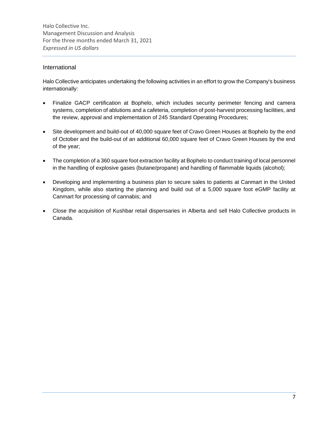### International

Halo Collective anticipates undertaking the following activities in an effort to grow the Company's business internationally:

- Finalize GACP certification at Bophelo, which includes security perimeter fencing and camera systems, completion of ablutions and a cafeteria, completion of post-harvest processing facilities, and the review, approval and implementation of 245 Standard Operating Procedures;
- Site development and build-out of 40,000 square feet of Cravo Green Houses at Bophelo by the end of October and the build-out of an additional 60,000 square feet of Cravo Green Houses by the end of the year;
- The completion of a 360 square foot extraction facility at Bophelo to conduct training of local personnel in the handling of explosive gases (butane/propane) and handling of flammable liquids (alcohol);
- Developing and implementing a business plan to secure sales to patients at Canmart in the United Kingdom, while also starting the planning and build out of a 5,000 square foot eGMP facility at Canmart for processing of cannabis; and
- Close the acquisition of Kushbar retail dispensaries in Alberta and sell Halo Collective products in Canada.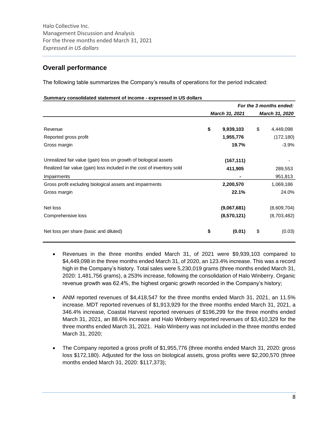# **Overall performance**

The following table summarizes the Company's results of operations for the period indicated:

#### **Summary consolidated statement of income - expressed in US dollars**

|                                                                        |                 | For the 3 months ended: |
|------------------------------------------------------------------------|-----------------|-------------------------|
|                                                                        | March 31, 2021  | March 31, 2020          |
| Revenue                                                                | \$<br>9,939,103 | \$<br>4,449,098         |
| Reported gross profit                                                  | 1,955,776       | (172, 180)              |
| Gross margin                                                           | 19.7%           | $-3.9%$                 |
| Unrealized fair value (gain) loss on growth of biological assets       | (167, 111)      |                         |
| Realized fair value (gain) loss included in the cost of inventory sold | 411,905         | 289,553                 |
| Impairments                                                            | $\blacksquare$  | 951,813                 |
| Gross profit excluding biological assets and impairments               | 2,200,570       | 1,069,186               |
| Gross margin                                                           | 22.1%           | 24.0%                   |
| Net loss                                                               | (9,067,681)     | (8,609,704)             |
| Comprehensive loss                                                     | (8,570,121)     | (8,703,482)             |
| Net loss per share (basic and diluted)                                 | \$<br>(0.01)    | \$<br>(0.03)            |

- Revenues in the three months ended March 31, of 2021 were \$9,939,103 compared to \$4,449,098 in the three months ended March 31, of 2020, an 123.4% increase. This was a record high in the Company's history. Total sales were 5,230,019 grams (three months ended March 31, 2020: 1,481,756 grams), a 253% increase, following the consolidation of Halo Winberry. Organic revenue growth was 62.4%, the highest organic growth recorded in the Company's history;
- ANM reported revenues of \$4,418,547 for the three months ended March 31, 2021, an 11.5% increase. MDT reported revenues of \$1,913,929 for the three months ended March 31, 2021, a 346.4% increase, Coastal Harvest reported revenues of \$196,299 for the three months ended March 31, 2021, an 88.6% increase and Halo Winberry reported revenues of \$3,410,329 for the three months ended March 31, 2021. Halo Winberry was not included in the three months ended March 31, 2020;
- The Company reported a gross profit of \$1,955,776 (three months ended March 31, 2020: gross loss \$172,180). Adjusted for the loss on biological assets, gross profits were \$2,200,570 (three months ended March 31, 2020: \$117,373);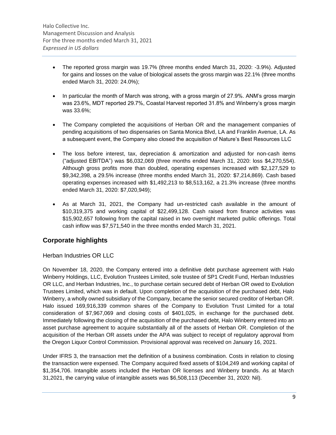- The reported gross margin was 19.7% (three months ended March 31, 2020: -3.9%). Adjusted for gains and losses on the value of biological assets the gross margin was 22.1% (three months ended March 31, 2020: 24.0%);
- In particular the month of March was strong, with a gross margin of 27.9%. ANM's gross margin was 23.6%, MDT reported 29.7%, Coastal Harvest reported 31.8% and Winberry's gross margin was 33.6%;
- The Company completed the acquisitions of Herban OR and the management companies of pending acquisitions of two dispensaries on Santa Monica Blvd, LA and Franklin Avenue, LA. As a subsequent event, the Company also closed the acquisition of Nature's Best Resources LLC
- The loss before interest, tax, depreciation & amortization and adjusted for non-cash items ("adjusted EBITDA") was \$6,032,069 (three months ended March 31, 2020: loss \$4,270,554). Although gross profits more than doubled, operating expenses increased with \$2,127,529 to \$9,342,398, a 29.5% increase (three months ended March 31, 2020: \$7,214,869). Cash based operating expenses increased with \$1,492,213 to \$8,513,162, a 21.3% increase (three months ended March 31, 2020: \$7,020,949);
- As at March 31, 2021, the Company had un-restricted cash available in the amount of \$10,319,375 and working capital of \$22,499,128. Cash raised from finance activities was \$15,902,657 following from the capital raised in two overnight marketed public offerings. Total cash inflow was \$7,571,540 in the three months ended March 31, 2021.

# **Corporate highlights**

# Herban Industries OR LLC

On November 18, 2020, the Company entered into a definitive debt purchase agreement with Halo Winberry Holdings, LLC, Evolution Trustees Limited, sole trustee of SP1 Credit Fund, Herban Industries OR LLC, and Herban Industries, Inc., to purchase certain secured debt of Herban OR owed to Evolution Trustees Limited, which was in default. Upon completion of the acquisition of the purchased debt, Halo Winberry, a wholly owned subsidiary of the Company, became the senior secured creditor of Herban OR. Halo issued 169,916,339 common shares of the Company to Evolution Trust Limited for a total consideration of \$7,967,069 and closing costs of \$401,025, in exchange for the purchased debt. Immediately following the closing of the acquisition of the purchased debt, Halo Winberry entered into an asset purchase agreement to acquire substantially all of the assets of Herban OR. Completion of the acquisition of the Herban OR assets under the APA was subject to receipt of regulatory approval from the Oregon Liquor Control Commission. Provisional approval was received on January 16, 2021.

Under IFRS 3, the transaction met the definition of a business combination. Costs in relation to closing the transaction were expensed. The Company acquired fixed assets of \$104,249 and working capital of \$1,354,706. Intangible assets included the Herban OR licenses and Winberry brands. As at March 31,2021, the carrying value of intangible assets was \$6,508,113 (December 31, 2020: Nil).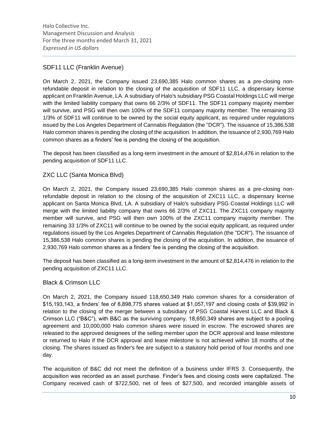# SDF11 LLC (Franklin Avenue)

On March 2, 2021, the Company issued 23,690,385 Halo common shares as a pre-closing nonrefundable deposit in relation to the closing of the acquisition of SDF11 LLC, a dispensary license applicant on Franklin Avenue, LA. A subsidiary of Halo's subsidiary PSG Coastal Holdings LLC will merge with the limited liability company that owns 66 2/3% of SDF11. The SDF11 company majority member will survive, and PSG will then own 100% of the SDF11 company majority member. The remaining 33 1/3% of SDF11 will continue to be owned by the social equity applicant, as required under regulations issued by the Los Angeles Department of Cannabis Regulation (the "DCR"). The issuance of 15,386,538 Halo common shares is pending the closing of the acquisition. In addition, the issuance of 2,930,769 Halo common shares as a finders' fee is pending the closing of the acquisition.

The deposit has been classified as a long-term investment in the amount of \$2,814,476 in relation to the pending acquisition of SDF11 LLC.

# ZXC LLC (Santa Monica Blvd)

On March 2, 2021, the Company issued 23,690,385 Halo common shares as a pre-closing nonrefundable deposit in relation to the closing of the acquisition of ZXC11 LLC, a dispensary license applicant on Santa Monica Blvd, LA. A subsidiary of Halo's subsidiary PSG Coastal Holdings LLC will merge with the limited liability company that owns 66 2/3% of ZXC11. The ZXC11 company majority member will survive, and PSG will then own 100% of the ZXC11 company majority member. The remaining 33 1/3% of ZXC11 will continue to be owned by the social equity applicant, as required under regulations issued by the Los Angeles Department of Cannabis Regulation (the "DCR"). The issuance of 15,386,538 Halo common shares is pending the closing of the acquisition. In addition, the issuance of 2,930,769 Halo common shares as a finders' fee is pending the closing of the acquisition.

The deposit has been classified as a long-term investment in the amount of \$2,814,476 in relation to the pending acquisition of ZXC11 LLC.

# Black & Crimson LLC

On March 2, 2021, the Company issued 118,650,349 Halo common shares for a consideration of \$15,193,143, a finders' fee of 8,898,775 shares valued at \$1,057,197 and closing costs of \$39,992 in relation to the closing of the merger between a subsidiary of PSG Coastal Harvest LLC and Black & Crimson LLC ("B&C"), with B&C as the surviving company. 18,650,349 shares are subject to a pooling agreement and 10,000,000 Halo common shares were issued in escrow. The escrowed shares are released to the approved designees of the selling member upon the DCR approval and lease milestone or returned to Halo if the DCR approval and lease milestone is not achieved within 18 months of the closing. The shares issued as finder's fee are subject to a statutory hold period of four months and one day.

The acquisition of B&C did not meet the definition of a business under IFRS 3. Consequently, the acquisition was recorded as an asset purchase. Finder's fees and closing costs were capitalized. The Company received cash of \$722,500, net of fees of \$27,500, and recorded intangible assets of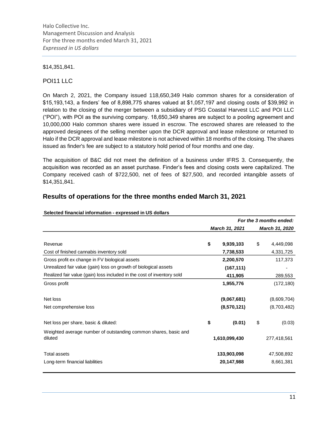### \$14,351,841.

### POI11 LLC

On March 2, 2021, the Company issued 118,650,349 Halo common shares for a consideration of \$15,193,143, a finders' fee of 8,898,775 shares valued at \$1,057,197 and closing costs of \$39,992 in relation to the closing of the merger between a subsidiary of PSG Coastal Harvest LLC and POI LLC ("POI"), with POI as the surviving company. 18,650,349 shares are subject to a pooling agreement and 10,000,000 Halo common shares were issued in escrow. The escrowed shares are released to the approved designees of the selling member upon the DCR approval and lease milestone or returned to Halo if the DCR approval and lease milestone is not achieved within 18 months of the closing. The shares issued as finder's fee are subject to a statutory hold period of four months and one day.

The acquisition of B&C did not meet the definition of a business under IFRS 3. Consequently, the acquisition was recorded as an asset purchase. Finder's fees and closing costs were capitalized. The Company received cash of \$722,500, net of fees of \$27,500, and recorded intangible assets of \$14,351,841.

# **Results of operations for the three months ended March 31, 2021**

|                                                                            |                 | For the 3 months ended: |
|----------------------------------------------------------------------------|-----------------|-------------------------|
|                                                                            | March 31, 2021  | March 31, 2020          |
| Revenue                                                                    | \$<br>9,939,103 | \$<br>4,449,098         |
| Cost of finished cannabis inventory sold                                   | 7,738,533       | 4,331,725               |
| Gross profit ex change in FV biological assets                             | 2,200,570       | 117,373                 |
| Unrealized fair value (gain) loss on growth of biological assets           | (167, 111)      |                         |
| Realized fair value (gain) loss included in the cost of inventory sold     | 411,905         | 289,553                 |
| Gross profit                                                               | 1,955,776       | (172, 180)              |
| Net loss                                                                   | (9,067,681)     | (8,609,704)             |
| Net comprehensive loss                                                     | (8,570,121)     | (8,703,482)             |
| Net loss per share, basic & diluted:                                       | \$<br>(0.01)    | \$<br>(0.03)            |
| Weighted average number of outstanding common shares, basic and<br>diluted | 1,610,099,430   | 277,418,561             |
| Total assets                                                               | 133,903,098     | 47,508,892              |
| Long-term financial liabilities                                            | 20,147,988      | 8,661,381               |

#### **Selected financial information - expressed in US dollars**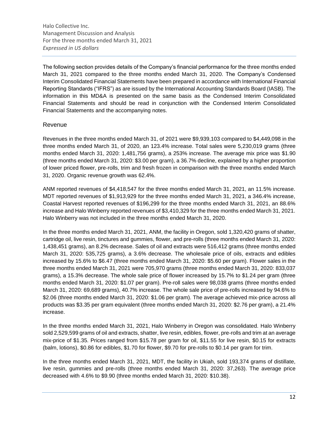The following section provides details of the Company's financial performance for the three months ended March 31, 2021 compared to the three months ended March 31, 2020. The Company's Condensed Interim Consolidated Financial Statements have been prepared in accordance with International Financial Reporting Standards ("IFRS") as are issued by the International Accounting Standards Board (IASB). The information in this MD&A is presented on the same basis as the Condensed Interim Consolidated Financial Statements and should be read in conjunction with the Condensed Interim Consolidated Financial Statements and the accompanying notes.

### Revenue

Revenues in the three months ended March 31, of 2021 were \$9,939,103 compared to \$4,449,098 in the three months ended March 31, of 2020, an 123.4% increase. Total sales were 5,230,019 grams (three months ended March 31, 2020: 1,481,756 grams), a 253% increase. The average mix price was \$1.90 (three months ended March 31, 2020: \$3.00 per gram), a 36.7% decline, explained by a higher proportion of lower priced flower, pre-rolls, trim and fresh frozen in comparison with the three months ended March 31, 2020. Organic revenue growth was 62.4%.

ANM reported revenues of \$4,418,547 for the three months ended March 31, 2021, an 11.5% increase. MDT reported revenues of \$1,913,929 for the three months ended March 31, 2021, a 346.4% increase, Coastal Harvest reported revenues of \$196,299 for the three months ended March 31, 2021, an 88.6% increase and Halo Winberry reported revenues of \$3,410,329 for the three months ended March 31, 2021. Halo Winberry was not included in the three months ended March 31, 2020.

In the three months ended March 31, 2021, ANM, the facility in Oregon, sold 1,320,420 grams of shatter, cartridge oil, live resin, tinctures and gummies, flower, and pre-rolls (three months ended March 31, 2020: 1,438,451 grams), an 8.2% decrease. Sales of oil and extracts were 516,412 grams (three months ended March 31, 2020: 535,725 grams), a 3.6% decrease. The wholesale price of oils, extracts and edibles increased by 15.6% to \$6.47 (three months ended March 31, 2020: \$5.60 per gram). Flower sales in the three months ended March 31, 2021 were 705,970 grams (three months ended March 31, 2020: 833,037 grams), a 15.3% decrease. The whole sale price of flower increased by 15.7% to \$1.24 per gram (three months ended March 31, 2020: \$1.07 per gram). Pre-roll sales were 98,038 grams (three months ended March 31, 2020: 69,689 grams), 40.7% increase. The whole sale price of pre-rolls increased by 94.6% to \$2.06 (three months ended March 31, 2020: \$1.06 per gram). The average achieved mix-price across all products was \$3.35 per gram equivalent (three months ended March 31, 2020: \$2.76 per gram), a 21.4% increase.

In the three months ended March 31, 2021, Halo Winberry in Oregon was consolidated. Halo Winberry sold 2,529,599 grams of oil and extracts, shatter, live resin, edibles, flower, pre-rolls and trim at an average mix-price of \$1.35. Prices ranged from \$15.78 per gram for oil, \$11.55 for live resin, \$0.15 for extracts (balm, lotions), \$0.86 for edibles, \$1.70 for flower, \$9.70 for pre-rolls to \$0.14 per gram for trim.

In the three months ended March 31, 2021, MDT, the facility in Ukiah, sold 193,374 grams of distillate, live resin, gummies and pre-rolls (three months ended March 31, 2020: 37,263). The average price decreased with 4.6% to \$9.90 (three months ended March 31, 2020: \$10.38).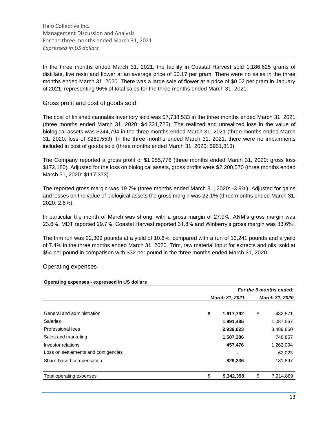In the three months ended March 31, 2021, the facility in Coastal Harvest sold 1,186,625 grams of distillate, live resin and flower at an average price of \$0.17 per gram. There were no sales in the three months ended March 31, 2020. There was a large sale of flower at a price of \$0.02 per gram in January of 2021, representing 96% of total sales for the three months ended March 31, 2021.

### Gross profit and cost of goods sold

The cost of finished cannabis inventory sold was \$7,738,533 in the three months ended March 31, 2021 (three months ended March 31, 2020: \$4,331,725). The realized and unrealized loss in the value of biological assets was \$244,794 in the three months ended March 31, 2021 (three months ended March 31, 2020: loss of \$289,553). In the three months ended March 31, 2021, there were no impairments included in cost of goods sold (three months ended March 31, 2020: \$951,813).

The Company reported a gross profit of \$1,955,776 (three months ended March 31, 2020: gross loss \$172,180). Adjusted for the loss on biological assets, gross profits were \$2,200,570 (three months ended March 31, 2020: \$117,373).

The reported gross margin was 19.7% (three months ended March 31, 2020: -3.9%). Adjusted for gains and losses on the value of biological assets the gross margin was 22.1% (three months ended March 31, 2020: 2.6%).

In particular the month of March was strong, with a gross margin of 27.9%. ANM's gross margin was 23.6%, MDT reported 29.7%, Coastal Harvest reported 31.8% and Winberry's gross margin was 33.6%.

The trim run was 22,309 pounds at a yield of 10.6%, compared with a run of 13,241 pounds and a yield of 7.4% in the three months ended March 31, 2020. Trim, raw material input for extracts and oils, sold at \$54 per pound in comparison with \$32 per pound in the three months ended March 31, 2020.

### Operating expenses

#### **Operating expenses - expressed in US dollars**

|                                      |                 |    | For the 3 months ended: |
|--------------------------------------|-----------------|----|-------------------------|
|                                      | March 31, 2021  |    | <b>March 31, 2020</b>   |
| General and administration           | \$<br>1,617,792 | \$ | 432,571                 |
| <b>Salaries</b>                      | 1,991,485       |    | 1,087,567               |
| Professional fees                    | 2,939,023       |    | 3,489,860               |
| Sales and marketing                  | 1,507,386       |    | 748,857                 |
| Investor relations                   | 457,476         |    | 1,262,094               |
| Loss on settlements and contigencies |                 |    | 62,023                  |
| Share-based compensation             | 829,236         |    | 131,897                 |
| Total operating expenses             | 9,342,398       | Ъ  | 7,214,869               |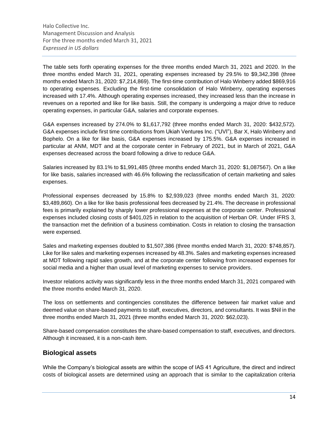The table sets forth operating expenses for the three months ended March 31, 2021 and 2020. In the three months ended March 31, 2021, operating expenses increased by 29.5% to \$9,342,398 (three months ended March 31, 2020: \$7,214,869). The first-time contribution of Halo Winberry added \$869,916 to operating expenses. Excluding the first-time consolidation of Halo Winberry, operating expenses increased with 17.4%. Although operating expenses increased, they increased less than the increase in revenues on a reported and like for like basis. Still, the company is undergoing a major drive to reduce operating expenses, in particular G&A, salaries and corporate expenses.

G&A expenses increased by 274.0% to \$1,617,792 (three months ended March 31, 2020: \$432,572). G&A expenses include first time contributions from Ukiah Ventures Inc. ("UVI"), Bar X, Halo Winberry and Bophelo. On a like for like basis, G&A expenses increased by 175.5%. G&A expenses increased in particular at ANM, MDT and at the corporate center in February of 2021, but in March of 2021, G&A expenses decreased across the board following a drive to reduce G&A.

Salaries increased by 83.1% to \$1,991,485 (three months ended March 31, 2020: \$1,087567). On a like for like basis, salaries increased with 46.6% following the reclassification of certain marketing and sales expenses.

Professional expenses decreased by 15.8% to \$2,939,023 (three months ended March 31, 2020: \$3,489,860). On a like for like basis professional fees decreased by 21.4%. The decrease in professional fees is primarily explained by sharply lower professional expenses at the corporate center. Professional expenses included closing costs of \$401,025 in relation to the acquisition of Herban OR. Under IFRS 3, the transaction met the definition of a business combination. Costs in relation to closing the transaction were expensed.

Sales and marketing expenses doubled to \$1,507,386 (three months ended March 31, 2020: \$748,857). Like for like sales and marketing expenses increased by 48.3%. Sales and marketing expenses increased at MDT following rapid sales growth, and at the corporate center following from increased expenses for social media and a higher than usual level of marketing expenses to service providers.

Investor relations activity was significantly less in the three months ended March 31, 2021 compared with the three months ended March 31, 2020.

The loss on settlements and contingencies constitutes the difference between fair market value and deemed value on share-based payments to staff, executives, directors, and consultants. It was \$Nil in the three months ended March 31, 2021 (three months ended March 31, 2020: \$62,023).

Share-based compensation constitutes the share-based compensation to staff, executives, and directors. Although it increased, it is a non-cash item.

# **Biological assets**

While the Company's biological assets are within the scope of IAS 41 Agriculture, the direct and indirect costs of biological assets are determined using an approach that is similar to the capitalization criteria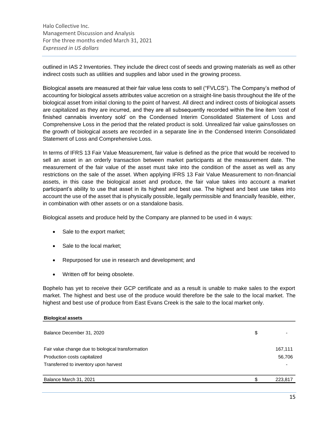outlined in IAS 2 Inventories. They include the direct cost of seeds and growing materials as well as other indirect costs such as utilities and supplies and labor used in the growing process.

Biological assets are measured at their fair value less costs to sell ("FVLCS"). The Company's method of accounting for biological assets attributes value accretion on a straight-line basis throughout the life of the biological asset from initial cloning to the point of harvest. All direct and indirect costs of biological assets are capitalized as they are incurred, and they are all subsequently recorded within the line item 'cost of finished cannabis inventory sold' on the Condensed Interim Consolidated Statement of Loss and Comprehensive Loss in the period that the related product is sold. Unrealized fair value gains/losses on the growth of biological assets are recorded in a separate line in the Condensed Interim Consolidated Statement of Loss and Comprehensive Loss.

In terms of IFRS 13 Fair Value Measurement, fair value is defined as the price that would be received to sell an asset in an orderly transaction between market participants at the measurement date. The measurement of the fair value of the asset must take into the condition of the asset as well as any restrictions on the sale of the asset. When applying IFRS 13 Fair Value Measurement to non-financial assets, in this case the biological asset and produce, the fair value takes into account a market participant's ability to use that asset in its highest and best use. The highest and best use takes into account the use of the asset that is physically possible, legally permissible and financially feasible, either, in combination with other assets or on a standalone basis.

Biological assets and produce held by the Company are planned to be used in 4 ways:

- Sale to the export market;
- Sale to the local market;
- Repurposed for use in research and development; and
- Written off for being obsolete.

Bophelo has yet to receive their GCP certificate and as a result is unable to make sales to the export market. The highest and best use of the produce would therefore be the sale to the local market. The highest and best use of produce from East Evans Creek is the sale to the local market only.

| <b>Biological assets</b>                           |         |
|----------------------------------------------------|---------|
| Balance December 31, 2020                          | \$      |
| Fair value change due to biological transformation | 167,111 |
| Production costs capitalized                       | 56,706  |
| Transferred to inventory upon harvest              |         |
| Balance March 31, 2021                             | 223,817 |
|                                                    |         |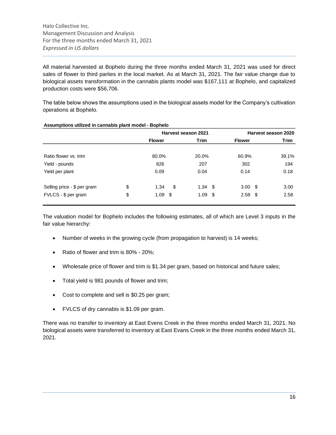All material harvested at Bophelo during the three months ended March 31, 2021 was used for direct sales of flower to third parties in the local market. As at March 31, 2021. The fair value change due to biological assets transformation in the cannabis plants model was \$167,111 at Bophelo, and capitalized production costs were \$56,706.

The table below shows the assumptions used in the biological assets model for the Company's cultivation operations at Bophelo.

|                             |    |               | Harvest season 2021 | Harvest season 2020 |       |  |  |  |
|-----------------------------|----|---------------|---------------------|---------------------|-------|--|--|--|
|                             |    | <b>Flower</b> | Trim                | <b>Flower</b>       | Trim  |  |  |  |
| Ratio flower vs. trim       |    | 80.0%         | 20.0%               | 60.9%               | 39.1% |  |  |  |
| Yield - pounds              |    | 826           | 207                 | 302                 | 194   |  |  |  |
| Yield per plant             |    | 0.09          | 0.04                | 0.14                | 0.18  |  |  |  |
| Selling price - \$ per gram | \$ | \$<br>1.34    | $1.34$ \$           | $3.00 \text{ }$ \$  | 3.00  |  |  |  |
| FVLCS - \$ per gram         | \$ | 1.09<br>- \$  | $1.09$ \$           | $2.58$ \$           | 2.58  |  |  |  |

### **Assumptions utilized in cannabis plant model - Bophelo**

The valuation model for Bophelo includes the following estimates, all of which are Level 3 inputs in the fair value hierarchy:

- Number of weeks in the growing cycle (from propagation to harvest) is 14 weeks;
- Ratio of flower and trim is 80% 20%;
- Wholesale price of flower and trim is \$1.34 per gram, based on historical and future sales;
- Total yield is 981 pounds of flower and trim;
- Cost to complete and sell is \$0.25 per gram;
- FVLCS of dry cannabis is \$1.09 per gram.

There was no transfer to inventory at East Evens Creek in the three months ended March 31, 2021. No biological assets were transferred to inventory at East Evans Creek in the three months ended March 31, 2021.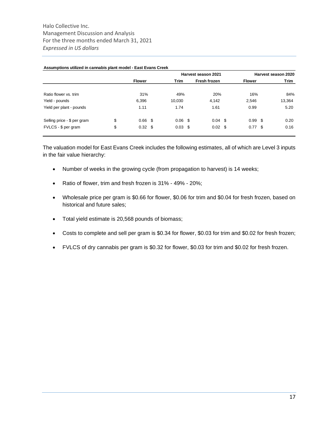|                             |                       |           | Harvest season 2021 | Harvest season 2020 |      |        |  |
|-----------------------------|-----------------------|-----------|---------------------|---------------------|------|--------|--|
|                             | <b>Flower</b>         | Trim      | Fresh frozen        | <b>Flower</b>       |      | Trim   |  |
| Ratio flower vs. trim       | 31%                   | 49%       | 20%                 | 16%                 |      | 84%    |  |
| Yield - pounds              | 6,396                 | 10,030    | 4,142               | 2,546               |      | 13,364 |  |
| Yield per plant - pounds    | 1.11                  | 1.74      | 1.61                | 0.99                |      | 5.20   |  |
| Selling price - \$ per gram | \$<br>$0.66$ \$       | $0.06$ \$ | $0.04$ \$           | 0.99                | - \$ | 0.20   |  |
| FVLCS - \$ per gram         | \$<br>$0.32 \quad$ \$ | $0.03$ \$ | $0.02 \quad $$      | 0.77                | - \$ | 0.16   |  |

#### **Assumptions utilized in cannabis plant model - East Evans Creek**

The valuation model for East Evans Creek includes the following estimates, all of which are Level 3 inputs in the fair value hierarchy:

- Number of weeks in the growing cycle (from propagation to harvest) is 14 weeks;
- Ratio of flower, trim and fresh frozen is 31% 49% 20%;
- Wholesale price per gram is \$0.66 for flower, \$0.06 for trim and \$0.04 for fresh frozen, based on historical and future sales;
- Total yield estimate is 20,568 pounds of biomass;
- Costs to complete and sell per gram is \$0.34 for flower, \$0.03 for trim and \$0.02 for fresh frozen;
- FVLCS of dry cannabis per gram is \$0.32 for flower, \$0.03 for trim and \$0.02 for fresh frozen.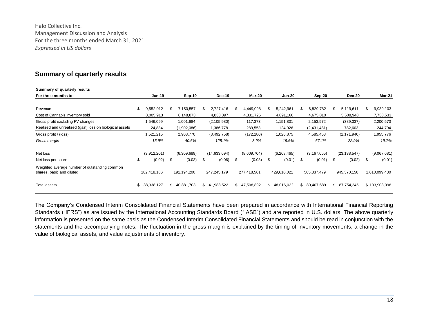# **Summary of quarterly results**

| Summary of quarterly results                                               |                  |    |             |    |               |                 |     |               |                  |     |                |     |               |
|----------------------------------------------------------------------------|------------------|----|-------------|----|---------------|-----------------|-----|---------------|------------------|-----|----------------|-----|---------------|
| For three months to:                                                       | <b>Jun-19</b>    |    | Sep-19      |    | <b>Dec-19</b> | Mar-20          |     | <b>Jun-20</b> | Sep-20           |     | <b>Dec-20</b>  |     | <b>Mar-21</b> |
|                                                                            |                  |    |             |    |               |                 |     |               |                  |     |                |     |               |
| Revenue                                                                    | \$<br>9,552,012  | Ж, | 7,150,557   | S  | 2,727,416     | \$<br>4,449,098 |     | 5,242,961     | \$<br>6,829,782  | \$. | 5,119,611      | \$. | 9,939,103     |
| Cost of Cannabis inventory sold                                            | 8,005,913        |    | 6,148,873   |    | 4,833,397     | 4,331,725       |     | 4,091,160     | 4,675,810        |     | 5,508,948      |     | 7,738,533     |
| Gross profit excluding FV changes                                          | 1,546,099        |    | 1,001,684   |    | (2, 105, 980) | 117,373         |     | 1,151,801     | 2,153,972        |     | (389, 337)     |     | 2,200,570     |
| Realized and unrealized (gain) loss on biological assets                   | 24,884           |    | (1,902,086) |    | 1,386,778     | 289,553         |     | 124,926       | (2,431,481)      |     | 782,603        |     | 244,794       |
| Gross profit / (loss)                                                      | 1,521,215        |    | 2,903,770   |    | (3,492,758)   | (172, 180)      |     | 1,026,875     | 4,585,453        |     | (1, 171, 940)  |     | 1,955,776     |
| Gross margin                                                               | 15.9%            |    | 40.6%       |    | $-128.1%$     | $-3.9%$         |     | 19.6%         | 67.1%            |     | $-22.9%$       |     | 19.7%         |
| Net loss                                                                   | (3,912,201)      |    | (6,309,689) |    | (14,633,694)  | (8,609,704)     |     | (6, 268, 465) | (3, 167, 055)    |     | (23, 138, 547) |     | (9,067,681)   |
| Net loss per share                                                         | \$<br>(0.02)     | \$ | (0.03)      | \$ | (0.06)        | \$<br>(0.03)    | \$  | (0.01)        | \$<br>(0.01)     | \$  | (0.02)         | \$  | (0.01)        |
| Weighted average number of outstanding common<br>shares, basic and diluted | 182,418,186      |    | 191,194,200 |    | 247,245,179   | 277,418,561     |     | 429,610,021   | 565,337,479      |     | 945,370,158    |     | 1,610,099,430 |
| <b>Total assets</b>                                                        | \$<br>38,338,127 | \$ | 40,881,703  | \$ | 41,988,522    | \$47,508,892    | \$. | 48,016,022    | \$<br>80,407,689 | \$. | 87,754,245     |     | \$133,903,098 |

The Company's Condensed Interim Consolidated Financial Statements have been prepared in accordance with International Financial Reporting Standards ("IFRS") as are issued by the International Accounting Standards Board ("IASB") and are reported in U.S. dollars. The above quarterly information is presented on the same basis as the Condensed Interim Consolidated Financial Statements and should be read in conjunction with the statements and the accompanying notes. The fluctuation in the gross margin is explained by the timing of inventory movements, a change in the value of biological assets, and value adjustments of inventory.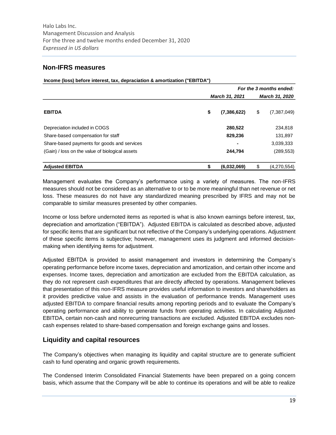**Income (loss) before interest, tax, depraciation & amortization ("EBITDA")**

# **Non-IFRS measures**

| $\frac{1}{2}$                                   |                   |     |                         |
|-------------------------------------------------|-------------------|-----|-------------------------|
|                                                 |                   |     | For the 3 months ended: |
|                                                 | March 31, 2021    |     | March 31, 2020          |
| <b>EBITDA</b>                                   | \$<br>(7,386,622) | \$  | (7,387,049)             |
| Depreciation included in COGS                   | 280,522           |     | 234,818                 |
| Share-based compensation for staff              | 829,236           |     | 131,897                 |
| Share-based payments for goods and services     | $\blacksquare$    |     | 3,039,333               |
| (Gain) / loss on the value of biological assets | 244,794           |     | (289, 553)              |
| <b>Adjusted EBITDA</b>                          | (6,032,069)       | \$. | (4,270,554)             |

Management evaluates the Company's performance using a variety of measures. The non-IFRS measures should not be considered as an alternative to or to be more meaningful than net revenue or net loss. These measures do not have any standardized meaning prescribed by IFRS and may not be comparable to similar measures presented by other companies.

Income or loss before undernoted items as reported is what is also known earnings before interest, tax, depreciation and amortization ("EBITDA"). Adjusted EBITDA is calculated as described above, adjusted for specific items that are significant but not reflective of the Company's underlying operations. Adjustment of these specific items is subjective; however, management uses its judgment and informed decisionmaking when identifying items for adjustment.

Adjusted EBITDA is provided to assist management and investors in determining the Company's operating performance before income taxes, depreciation and amortization, and certain other income and expenses. Income taxes, depreciation and amortization are excluded from the EBITDA calculation, as they do not represent cash expenditures that are directly affected by operations. Management believes that presentation of this non-IFRS measure provides useful information to investors and shareholders as it provides predictive value and assists in the evaluation of performance trends. Management uses adjusted EBITDA to compare financial results among reporting periods and to evaluate the Company's operating performance and ability to generate funds from operating activities. In calculating Adjusted EBITDA, certain non-cash and nonrecurring transactions are excluded. Adjusted EBITDA excludes noncash expenses related to share-based compensation and foreign exchange gains and losses.

# **Liquidity and capital resources**

The Company's objectives when managing its liquidity and capital structure are to generate sufficient cash to fund operating and organic growth requirements.

The Condensed Interim Consolidated Financial Statements have been prepared on a going concern basis, which assume that the Company will be able to continue its operations and will be able to realize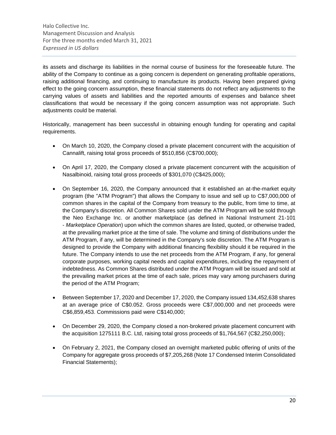its assets and discharge its liabilities in the normal course of business for the foreseeable future. The ability of the Company to continue as a going concern is dependent on generating profitable operations, raising additional financing, and continuing to manufacture its products. Having been prepared giving effect to the going concern assumption, these financial statements do not reflect any adjustments to the carrying values of assets and liabilities and the reported amounts of expenses and balance sheet classifications that would be necessary if the going concern assumption was not appropriate. Such adjustments could be material.

Historically, management has been successful in obtaining enough funding for operating and capital requirements.

- On March 10, 2020, the Company closed a private placement concurrent with the acquisition of Cannalift, raising total gross proceeds of \$510,856 (C\$700,000);
- On April 17, 2020, the Company closed a private placement concurrent with the acquisition of Nasalbinoid, raising total gross proceeds of \$301,070 (C\$425,000);
- On September 16, 2020, the Company announced that it established an at-the-market equity program (the "ATM Program") that allows the Company to issue and sell up to C\$7,000,000 of common shares in the capital of the Company from treasury to the public, from time to time, at the Company's discretion. All Common Shares sold under the ATM Program will be sold through the Neo Exchange Inc. or another marketplace (as defined in National Instrument 21-101 - *Marketplace Operation*) upon which the common shares are listed, quoted, or otherwise traded, at the prevailing market price at the time of sale. The volume and timing of distributions under the ATM Program, if any, will be determined in the Company's sole discretion. The ATM Program is designed to provide the Company with additional financing flexibility should it be required in the future. The Company intends to use the net proceeds from the ATM Program, if any, for general corporate purposes, working capital needs and capital expenditures, including the repayment of indebtedness. As Common Shares distributed under the ATM Program will be issued and sold at the prevailing market prices at the time of each sale, prices may vary among purchasers during the period of the ATM Program;
- Between September 17, 2020 and December 17, 2020, the Company issued 134,452,638 shares at an average price of C\$0.052. Gross proceeds were C\$7,000,000 and net proceeds were C\$6,859,453. Commissions paid were C\$140,000;
- On December 29, 2020, the Company closed a non-brokered private placement concurrent with the acquisition 1275111 B.C. Ltd, raising total gross proceeds of \$1,764,567 (C\$2,250,000);
- On February 2, 2021, the Company closed an overnight marketed public offering of units of the Company for aggregate gross proceeds of \$7,205,268 (Note 17 Condensed Interim Consolidated Financial Statements);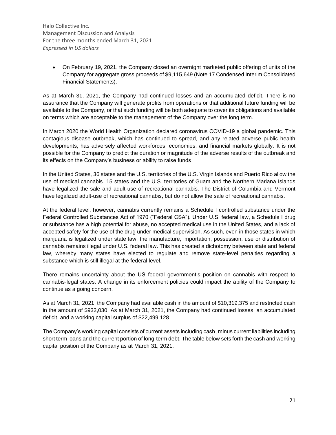• On February 19, 2021, the Company closed an overnight marketed public offering of units of the Company for aggregate gross proceeds of \$9,115,649 (Note 17 Condensed Interim Consolidated Financial Statements).

As at March 31, 2021, the Company had continued losses and an accumulated deficit. There is no assurance that the Company will generate profits from operations or that additional future funding will be available to the Company, or that such funding will be both adequate to cover its obligations and available on terms which are acceptable to the management of the Company over the long term.

In March 2020 the World Health Organization declared coronavirus COVID-19 a global pandemic. This contagious disease outbreak, which has continued to spread, and any related adverse public health developments, has adversely affected workforces, economies, and financial markets globally. It is not possible for the Company to predict the duration or magnitude of the adverse results of the outbreak and its effects on the Company's business or ability to raise funds.

In the United States, 36 states and the U.S. territories of the U.S. Virgin Islands and Puerto Rico allow the use of medical cannabis. 15 states and the U.S. territories of Guam and the Northern Mariana Islands have legalized the sale and adult-use of recreational cannabis. The District of Columbia and Vermont have legalized adult-use of recreational cannabis, but do not allow the sale of recreational cannabis.

At the federal level, however, cannabis currently remains a Schedule I controlled substance under the Federal Controlled Substances Act of 1970 ("Federal CSA"). Under U.S. federal law, a Schedule I drug or substance has a high potential for abuse, no accepted medical use in the United States, and a lack of accepted safety for the use of the drug under medical supervision. As such, even in those states in which marijuana is legalized under state law, the manufacture, importation, possession, use or distribution of cannabis remains illegal under U.S. federal law. This has created a dichotomy between state and federal law, whereby many states have elected to regulate and remove state-level penalties regarding a substance which is still illegal at the federal level.

There remains uncertainty about the US federal government's position on cannabis with respect to cannabis-legal states. A change in its enforcement policies could impact the ability of the Company to continue as a going concern.

As at March 31, 2021, the Company had available cash in the amount of \$10,319,375 and restricted cash in the amount of \$932,030. As at March 31, 2021, the Company had continued losses, an accumulated deficit, and a working capital surplus of \$22,499,128.

The Company's working capital consists of current assets including cash, minus current liabilities including short term loans and the current portion of long-term debt. The table below sets forth the cash and working capital position of the Company as at March 31, 2021.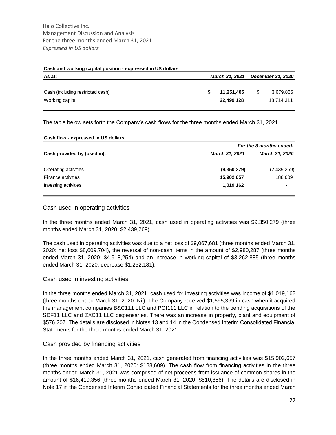#### **Cash and working capital position - expressed in US dollars**

| As at:                           | <b>March 31, 2021</b> | <b>December 31, 2020</b> |    |            |  |
|----------------------------------|-----------------------|--------------------------|----|------------|--|
|                                  |                       |                          |    |            |  |
| Cash (including restricted cash) |                       | 11,251,405               | \$ | 3,679,865  |  |
| Working capital                  |                       | 22,499,128               |    | 18,714,311 |  |

The table below sets forth the Company's cash flows for the three months ended March 31, 2021.

| Cash flow - expressed in US dollars |  |
|-------------------------------------|--|
|-------------------------------------|--|

|                             | For the 3 months ended:                                         |                          |  |  |  |  |
|-----------------------------|-----------------------------------------------------------------|--------------------------|--|--|--|--|
| Cash provided by (used in): | <b>March 31, 2021</b><br>(9,350,279)<br>15,902,657<br>1,019,162 | <b>March 31, 2020</b>    |  |  |  |  |
| Operating activities        |                                                                 | (2,439,269)              |  |  |  |  |
| <b>Finance activities</b>   |                                                                 | 188,609                  |  |  |  |  |
| Investing activities        |                                                                 | $\overline{\phantom{0}}$ |  |  |  |  |
|                             |                                                                 |                          |  |  |  |  |

### Cash used in operating activities

In the three months ended March 31, 2021, cash used in operating activities was \$9,350,279 (three months ended March 31, 2020: \$2,439,269).

The cash used in operating activities was due to a net loss of \$9,067,681 (three months ended March 31, 2020: net loss \$8,609,704), the reversal of non-cash items in the amount of \$2,980,287 (three months ended March 31, 2020: \$4,918,254) and an increase in working capital of \$3,262,885 (three months ended March 31, 2020: decrease \$1,252,181).

### Cash used in investing activities

In the three months ended March 31, 2021, cash used for investing activities was income of \$1,019,162 (three months ended March 31, 2020: Nil). The Company received \$1,595,369 in cash when it acquired the management companies B&C111 LLC and POI111 LLC in relation to the pending acquisitions of the SDF11 LLC and ZXC11 LLC dispensaries. There was an increase in property, plant and equipment of \$576,207. The details are disclosed in Notes 13 and 14 in the Condensed Interim Consolidated Financial Statements for the three months ended March 31, 2021.

### Cash provided by financing activities

In the three months ended March 31, 2021, cash generated from financing activities was \$15,902,657 (three months ended March 31, 2020: \$188,609). The cash flow from financing activities in the three months ended March 31, 2021 was comprised of net proceeds from issuance of common shares in the amount of \$16,419,356 (three months ended March 31, 2020: \$510,856). The details are disclosed in Note 17 in the Condensed Interim Consolidated Financial Statements for the three months ended March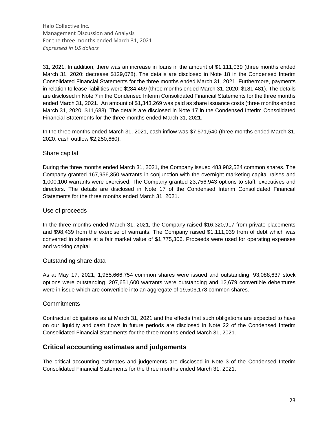31, 2021. In addition, there was an increase in loans in the amount of \$1,111,039 (three months ended March 31, 2020: decrease \$129,078). The details are disclosed in Note 18 in the Condensed Interim Consolidated Financial Statements for the three months ended March 31, 2021. Furthermore, payments in relation to lease liabilities were \$284,469 (three months ended March 31, 2020; \$181,481). The details are disclosed in Note 7 in the Condensed Interim Consolidated Financial Statements for the three months ended March 31, 2021. An amount of \$1,343,269 was paid as share issuance costs (three months ended March 31, 2020: \$11,688). The details are disclosed in Note 17 in the Condensed Interim Consolidated Financial Statements for the three months ended March 31, 2021.

In the three months ended March 31, 2021, cash inflow was \$7,571,540 (three months ended March 31, 2020: cash outflow \$2,250,660).

### Share capital

During the three months ended March 31, 2021, the Company issued 483,982,524 common shares. The Company granted 167,956,350 warrants in conjunction with the overnight marketing capital raises and 1,000,100 warrants were exercised. The Company granted 23,756,943 options to staff, executives and directors. The details are disclosed in Note 17 of the Condensed Interim Consolidated Financial Statements for the three months ended March 31, 2021.

### Use of proceeds

In the three months ended March 31, 2021, the Company raised \$16,320,917 from private placements and \$98,439 from the exercise of warrants. The Company raised \$1,111,039 from of debt which was converted in shares at a fair market value of \$1,775,306. Proceeds were used for operating expenses and working capital.

### Outstanding share data

As at May 17, 2021, 1,955,666,754 common shares were issued and outstanding, 93,088,637 stock options were outstanding, 207,651,600 warrants were outstanding and 12,679 convertible debentures were in issue which are convertible into an aggregate of 19,506,178 common shares.

### **Commitments**

Contractual obligations as at March 31, 2021 and the effects that such obligations are expected to have on our liquidity and cash flows in future periods are disclosed in Note 22 of the Condensed Interim Consolidated Financial Statements for the three months ended March 31, 2021.

# **Critical accounting estimates and judgements**

The critical accounting estimates and judgements are disclosed in Note 3 of the Condensed Interim Consolidated Financial Statements for the three months ended March 31, 2021.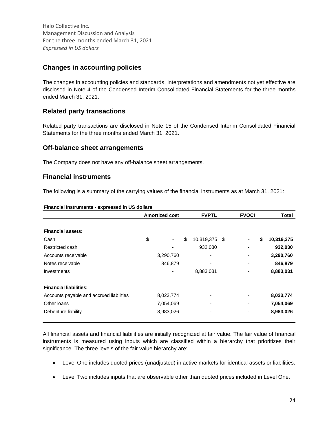# **Changes in accounting policies**

The changes in accounting policies and standards, interpretations and amendments not yet effective are disclosed in Note 4 of the Condensed Interim Consolidated Financial Statements for the three months ended March 31, 2021.

# **Related party transactions**

Related party transactions are disclosed in Note 15 of the Condensed Interim Consolidated Financial Statements for the three months ended March 31, 2021.

# **Off-balance sheet arrangements**

The Company does not have any off-balance sheet arrangements.

# **Financial instruments**

The following is a summary of the carrying values of the financial instruments as at March 31, 2021:

|                                          | <b>Amortized cost</b> | <b>FVPTL</b>        | <b>FVOCI</b> | <b>Total</b> |            |
|------------------------------------------|-----------------------|---------------------|--------------|--------------|------------|
| <b>Financial assets:</b>                 |                       |                     |              |              |            |
| Cash                                     | \$<br>-               | \$<br>10,319,375 \$ |              | \$           | 10,319,375 |
| Restricted cash                          |                       | 932,030             |              |              | 932,030    |
| Accounts receivable                      | 3,290,760             |                     |              |              | 3,290,760  |
| Notes receivable                         | 846,879               |                     |              |              | 846,879    |
| <b>Investments</b>                       | ٠                     | 8,883,031           |              |              | 8,883,031  |
| <b>Financial liabilities:</b>            |                       |                     |              |              |            |
| Accounts payable and accrued liabilities | 8,023,774             |                     |              |              | 8,023,774  |
| Other loans                              | 7,054,069             |                     |              |              | 7,054,069  |
| Debenture liability                      | 8,983,026             |                     |              |              | 8,983,026  |

#### **Financial Instruments - expressed in US dollars**

All financial assets and financial liabilities are initially recognized at fair value. The fair value of financial instruments is measured using inputs which are classified within a hierarchy that prioritizes their significance. The three levels of the fair value hierarchy are:

- Level One includes quoted prices (unadjusted) in active markets for identical assets or liabilities.
- Level Two includes inputs that are observable other than quoted prices included in Level One.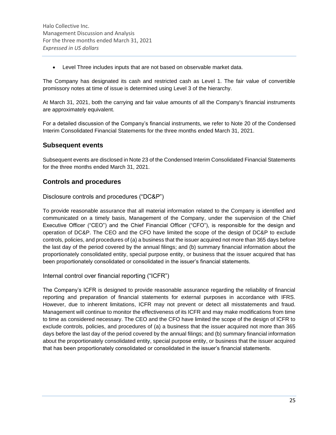• Level Three includes inputs that are not based on observable market data.

The Company has designated its cash and restricted cash as Level 1. The fair value of convertible promissory notes at time of issue is determined using Level 3 of the hierarchy.

At March 31, 2021, both the carrying and fair value amounts of all the Company's financial instruments are approximately equivalent.

For a detailed discussion of the Company's financial instruments, we refer to Note 20 of the Condensed Interim Consolidated Financial Statements for the three months ended March 31, 2021.

# **Subsequent events**

Subsequent events are disclosed in Note 23 of the Condensed Interim Consolidated Financial Statements for the three months ended March 31, 2021.

# **Controls and procedures**

Disclosure controls and procedures ("DC&P")

To provide reasonable assurance that all material information related to the Company is identified and communicated on a timely basis, Management of the Company, under the supervision of the Chief Executive Officer ("CEO") and the Chief Financial Officer ("CFO"), is responsible for the design and operation of DC&P. The CEO and the CFO have limited the scope of the design of DC&P to exclude controls, policies, and procedures of (a) a business that the issuer acquired not more than 365 days before the last day of the period covered by the annual filings; and (b) summary financial information about the proportionately consolidated entity, special purpose entity, or business that the issuer acquired that has been proportionately consolidated or consolidated in the issuer's financial statements.

Internal control over financial reporting ("ICFR")

The Company's ICFR is designed to provide reasonable assurance regarding the reliability of financial reporting and preparation of financial statements for external purposes in accordance with IFRS. However, due to inherent limitations, ICFR may not prevent or detect all misstatements and fraud. Management will continue to monitor the effectiveness of its ICFR and may make modifications from time to time as considered necessary. The CEO and the CFO have limited the scope of the design of ICFR to exclude controls, policies, and procedures of (a) a business that the issuer acquired not more than 365 days before the last day of the period covered by the annual filings; and (b) summary financial information about the proportionately consolidated entity, special purpose entity, or business that the issuer acquired that has been proportionately consolidated or consolidated in the issuer's financial statements.